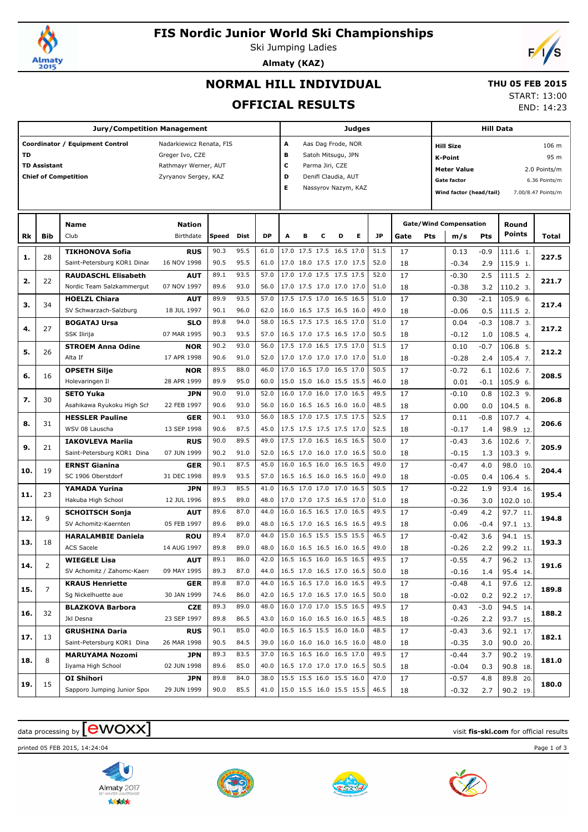

## **FIS Nordic Junior World Ski Championships**

Ski Jumping Ladies



# **Almaty (KAZ)**

### **NORMAL HILL INDIVIDUAL**

### **THU 05 FEB 2015**

**OFFICIAL RESULTS**

START: 13:00

END: 14:23

|     |                     | <b>Jury/Competition Management</b>             |                           |              |              |                    |   | Judges              |                                                      |   |                         |                           | <b>Hill Data</b> |                                     |                               |            |                      |       |  |
|-----|---------------------|------------------------------------------------|---------------------------|--------------|--------------|--------------------|---|---------------------|------------------------------------------------------|---|-------------------------|---------------------------|------------------|-------------------------------------|-------------------------------|------------|----------------------|-------|--|
|     |                     | Coordinator / Equipment Control                | Nadarkiewicz Renata, FIS  | A            |              | Aas Dag Frode, NOR |   |                     |                                                      |   |                         | 106 m<br><b>Hill Size</b> |                  |                                     |                               |            |                      |       |  |
| TD  |                     |                                                | Greger Ivo, CZE           |              |              |                    | B |                     | Satoh Mitsugu, JPN                                   |   |                         |                           |                  | 95 m<br><b>K-Point</b>              |                               |            |                      |       |  |
|     | <b>TD Assistant</b> |                                                | Rathmayr Werner, AUT      |              |              |                    | c |                     | Parma Jiri, CZE                                      |   |                         |                           |                  | <b>Meter Value</b><br>2.0 Points/m  |                               |            |                      |       |  |
|     |                     | <b>Chief of Competition</b>                    | Zyryanov Sergey, KAZ      |              |              |                    | D |                     | Denifl Claudia, AUT                                  |   |                         |                           |                  | <b>Gate factor</b><br>6.36 Points/m |                               |            |                      |       |  |
|     |                     |                                                |                           | Е            |              |                    |   | Nassyrov Nazym, KAZ |                                                      |   | Wind factor (head/tail) |                           |                  | 7.00/8.47 Points/m                  |                               |            |                      |       |  |
|     |                     |                                                |                           |              |              |                    |   |                     |                                                      |   |                         |                           |                  |                                     |                               |            |                      |       |  |
|     |                     |                                                |                           |              |              |                    |   |                     |                                                      |   |                         |                           |                  |                                     |                               |            |                      |       |  |
|     |                     | <b>Name</b>                                    | <b>Nation</b>             |              |              |                    |   |                     |                                                      |   |                         |                           |                  |                                     | <b>Gate/Wind Compensation</b> |            | Round                |       |  |
| Rk  | Bib                 | Club                                           | Birthdate                 | Speed        | Dist         | <b>DP</b>          | A | в                   | c                                                    | D | Е                       | JP                        | Gate             | Pts                                 | m/s                           | Pts        | Points               | Total |  |
| 1.  | 28                  | <b>TIKHONOVA Sofia</b>                         | <b>RUS</b>                | 90.3         | 95.5         | 61.0               |   |                     | 17.0 17.5 17.5 16.5 17.0                             |   |                         | 51.5                      | 17               |                                     | 0.13                          | $-0.9$     | 111.6 1.             | 227.5 |  |
|     |                     | Saint-Petersburg KOR1 Dinar                    | 16 NOV 1998               | 90.5         | 95.5         | 61.0               |   |                     | 17.0 18.0 17.5 17.0 17.5                             |   |                         | 52.0                      | 18               |                                     | $-0.34$                       | 2.9        | 115.9 1.             |       |  |
| 2.  | 22                  | <b>RAUDASCHL Elisabeth</b>                     | AUT                       | 89.1         | 93.5         | 57.0               |   |                     | 17.0 17.0 17.5 17.5 17.5                             |   |                         | 52.0                      | 17               |                                     | $-0.30$                       | 2.5        | 111.5 2.             | 221.7 |  |
|     |                     | Nordic Team Salzkammergut                      | 07 NOV 1997               | 89.6         | 93.0         | 56.0               |   |                     | 17.0 17.5 17.0 17.0 17.0                             |   |                         | 51.0                      | 18               |                                     | $-0.38$                       | 3.2        | 110.2 3.             |       |  |
| з.  | 34                  | <b>HOELZL Chiara</b>                           | AUT                       | 89.9         | 93.5         | 57.0               |   |                     | 17.5 17.5 17.0 16.5 16.5                             |   |                         | 51.0                      | 17               |                                     | 0.30                          | -2.1       | 105.9 6.             | 217.4 |  |
|     |                     | SV Schwarzach-Salzburg                         | 18 JUL 1997               | 90.1         | 96.0         | 62.0               |   |                     | 16.0 16.5 17.5 16.5 16.0                             |   |                         | 49.0                      | 18               |                                     | $-0.06$                       | 0.5        | 111.5 2.             |       |  |
| 4.  | 27                  | <b>BOGATAJ Ursa</b>                            | SLO                       | 89.8         | 94.0         | 58.0               |   |                     | 16.5 17.5 17.5 16.5 17.0                             |   |                         | 51.0                      | 17               |                                     | 0.04                          | $-0.3$     | 108.7 3.             | 217.2 |  |
|     |                     | SSK Ilirija                                    | 07 MAR 1995               | 90.3         | 93.5         | 57.0               |   |                     | 16.5 17.0 17.5 16.5 17.0                             |   |                         | 50.5                      | 18               |                                     | $-0.12$<br>0.10               | 1.0        | 108.5 4.             |       |  |
| 5.  | 26                  | <b>STROEM Anna Odine</b>                       | <b>NOR</b>                | 90.2         | 93.0         | 56.0               |   |                     | 17.5 17.0 16.5 17.5 17.0                             |   |                         | 51.5                      | 17               |                                     |                               | $-0.7$     | 106.8 5.             | 212.2 |  |
|     |                     | Alta If                                        | 17 APR 1998               | 90.6         | 91.0         | 52.0               |   |                     | 17.0 17.0 17.0 17.0 17.0                             |   |                         | 51.0                      | 18               |                                     | $-0.28$                       | 2.4        | 105.4 7.             |       |  |
| 6.  | 16                  | <b>OPSETH Silje</b>                            | <b>NOR</b>                | 89.5         | 88.0         | 46.0               |   |                     | 17.0 16.5 17.0 16.5 17.0                             |   |                         | 50.5                      | 17               |                                     | $-0.72$                       | 6.1        | 102.6 7.             | 208.5 |  |
|     |                     | Holevaringen Il                                | 28 APR 1999               | 89.9         | 95.0         | 60.0               |   |                     | 15.0 15.0 16.0 15.5 15.5                             |   |                         | 46.0                      | 18               |                                     | 0.01                          | $-0.1$     | 105.9 6.             |       |  |
| 7.  | 30                  | <b>SETO Yuka</b>                               | <b>JPN</b>                | 90.0         | 91.0         | 52.0               |   |                     | 16.0 17.0 16.0 17.0 16.5                             |   |                         | 49.5                      | 17               |                                     | $-0.10$                       | 0.8        | 102.3 9.             | 206.8 |  |
|     |                     | Asahikawa Ryukoku High Sch                     | 22 FEB 1997               | 90.6         | 93.0         | 56.0               |   |                     | 16.0 16.5 16.5 16.0 16.0                             |   |                         | 48.5                      | 18               |                                     | 0.00                          | 0.0        | 104.5 8.             |       |  |
| 8.  | 31                  | <b>HESSLER Pauline</b>                         | GER                       | 90.1         | 93.0         | 56.0               |   |                     | 18.5 17.0 17.5 17.5 17.5                             |   |                         | 52.5                      | 17               |                                     | 0.11                          | -0.8       | 107.7 4.             | 206.6 |  |
|     |                     | WSV 08 Lauscha                                 | 13 SEP 1998               | 90.6         | 87.5         | 45.0               |   |                     | 17.5 17.5 17.5 17.5 17.0                             |   |                         | 52.5                      | 18               |                                     | $-0.17$                       | 1.4        | 98.9 12.             |       |  |
| 9.  | 21                  | <b>IAKOVLEVA Mariia</b>                        | <b>RUS</b>                | 90.0         | 89.5         | 49.0               |   |                     | 17.5 17.0 16.5 16.5 16.5                             |   |                         | 50.0                      | 17               |                                     | $-0.43$                       | 3.6        | 102.6 7.             | 205.9 |  |
|     |                     | Saint-Petersburg KOR1 Dina                     | 07 JUN 1999               | 90.2         | 91.0         | 52.0               |   |                     | 16.5 17.0 16.0 17.0 16.5                             |   |                         | 50.0                      | 18               |                                     | $-0.15$                       | 1.3        | 103.3 9.             |       |  |
| 10. | 19                  | <b>ERNST Gianina</b><br>SC 1906 Oberstdorf     | GER                       | 90.1         | 87.5         | 45.0               |   |                     | 16.0 16.5 16.0 16.5 16.5                             |   |                         | 49.0                      | 17               |                                     | $-0.47$                       | 4.0        | 98.0 10.             | 204.4 |  |
|     |                     |                                                | 31 DEC 1998               | 89.9<br>89.3 | 93.5<br>85.5 | 57.0<br>41.0       |   |                     | 16.5 16.5 16.0 16.5 16.0<br>16.5 17.0 17.0 17.0 16.5 |   |                         | 49.0<br>50.5              | 18               |                                     | $-0.05$                       | 0.4        | 106.4 5.             |       |  |
| 11. | 23                  | YAMADA Yurina<br>Hakuba High School            | JPN<br>12 JUL 1996        | 89.5         | 89.0         | 48.0               |   |                     | 17.0 17.0 17.5 16.5 17.0                             |   |                         | 51.0                      | 17               |                                     | $-0.22$                       | 1.9        | 93.4 16.             | 195.4 |  |
|     |                     |                                                |                           | 89.6         | 87.0         | 44.0               |   |                     | 16.0 16.5 16.5 17.0 16.5                             |   |                         | 49.5                      | 18               |                                     | $-0.36$                       | 3.0        | 102.0 10.            |       |  |
| 12. | 9                   | <b>SCHOITSCH Sonja</b><br>SV Achomitz-Kaernten | AUT<br>05 FEB 1997        | 89.6         | 89.0         | 48.0               |   |                     | 16.5 17.0 16.5 16.5 16.5                             |   |                         | 49.5                      | 17               |                                     | $-0.49$                       | 4.2        | 97.7 11              | 194.8 |  |
|     |                     | <b>HARALAMBIE Daniela</b>                      |                           | 89.4         | 87.0         | 44.0               |   |                     | 15.0 16.5 15.5 15.5 15.5                             |   |                         | 46.5                      | 18               |                                     | 0.06                          | $-0.4$     | 97.1 13.             |       |  |
| 13. | 18                  | <b>ACS Sacele</b>                              | <b>ROU</b><br>14 AUG 1997 | 89.8         | 89.0         | 48.0               |   |                     | 16.0 16.5 16.5 16.0 16.5                             |   |                         | 49.0                      | 17<br>18         |                                     | $-0.42$<br>$-0.26$            | 3.6<br>2.2 | 94.1 15.             | 193.3 |  |
|     |                     | <b>WIEGELE Lisa</b>                            | AUT                       | 89.1         | 86.0         | 42.0               |   |                     | 16.5 16.5 16.0 16.5 16.5                             |   |                         | 49.5                      | 17               |                                     | $-0.55$                       | 4.7        | 99.2 11.<br>96.2 13. |       |  |
| 14. | 2                   | SV Achomitz / Zahomc-Kaerr                     | 09 MAY 1995               | 89.3         | 87.0         | 44.0               |   |                     | 16.5 17.0 16.5 17.0 16.5                             |   |                         | 50.0                      | 18               |                                     | $-0.16$                       | 1.4        | 95.4 14.             | 191.6 |  |
|     |                     | <b>KRAUS Henriette</b>                         | <b>GER</b>                | 89.8         | 87.0         | 44.0               |   |                     | 16.5 16.5 17.0 16.0 16.5                             |   |                         | 49.5                      | 17               |                                     | $-0.48$                       | 4.1        | 97.6 12.             |       |  |
| 15. | $\overline{7}$      | Sg Nickelhuette aue                            | 30 JAN 1999               | 74.6         | 86.0         | 42.0               |   |                     | 16.5 17.0 16.5 17.0 16.5                             |   |                         | 50.0                      | 18               |                                     | $-0.02$                       | 0.2        | 92.2 17.             | 189.8 |  |
|     |                     | <b>BLAZKOVA Barbora</b>                        | <b>CZE</b>                | 89.3         | 89.0         | 48.0               |   |                     | 16.0 17.0 17.0 15.5 16.5                             |   |                         | 49.5                      | 17               |                                     | 0.43                          | $-3.0$     | 94.5 14.             |       |  |
| 16. | 32                  | Jkl Desna                                      | 23 SEP 1997               | 89.8         | 86.5         | 43.0               |   |                     | 16.0 16.0 16.5 16.0 16.5                             |   |                         | 48.5                      | 18               |                                     | $-0.26$                       | 2.2        | 93.7 15.             | 188.2 |  |
|     |                     | <b>GRUSHINA Daria</b>                          | <b>RUS</b>                | 90.1         | 85.0         | 40.0               |   |                     | 16.5 16.5 15.5 16.0 16.0                             |   |                         | 48.5                      | 17               |                                     | $-0.43$                       | 3.6        | 92.1 17.             |       |  |
| 17. | 13                  | Saint-Petersburg KOR1 Dina                     | 26 MAR 1998               | 90.5         | 84.5         | 39.0               |   |                     | 16.0 16.0 16.0 16.5 16.0                             |   |                         | 48.0                      | 18               |                                     | $-0.35$                       | 3.0        | 90.0 20.             | 182.1 |  |
|     |                     | <b>MARUYAMA Nozomi</b>                         | JPN                       | 89.3         | 83.5         | 37.0               |   |                     | 16.5 16.5 16.0 16.5 17.0                             |   |                         | 49.5                      | 17               |                                     | $-0.44$                       | 3.7        | 90.2 19.             |       |  |
| 18. | 8                   | Iiyama High School                             | 02 JUN 1998               | 89.6         | 85.0         | 40.0               |   |                     | 16.5 17.0 17.0 17.0 16.5                             |   |                         | 50.5                      | 18               |                                     | $-0.04$                       | 0.3        | 90.8 18.             | 181.0 |  |
|     |                     | OI Shihori                                     | JPN                       | 89.8         | 84.0         | 38.0               |   |                     | 15.5 15.5 16.0 15.5 16.0                             |   |                         | 47.0                      | 17               |                                     | $-0.57$                       | 4.8        | 89.8 20.             |       |  |
| 19. | 15                  | Sapporo Jumping Junior Spor                    | 29 JUN 1999               | 90.0         | 85.5         | 41.0               |   |                     | 15.0 15.5 16.0 15.5 15.5                             |   |                         | 46.5                      | 18               |                                     | $-0.32$                       | 2.7        | 90.2 19.             | 180.0 |  |
|     |                     |                                                |                           |              |              |                    |   |                     |                                                      |   |                         |                           |                  |                                     |                               |            |                      |       |  |

## $\frac{1}{2}$  data processing by  $\boxed{\text{ewOX}}$

printed 05 FEB 2015, 14:24:04 Page 1 of 3







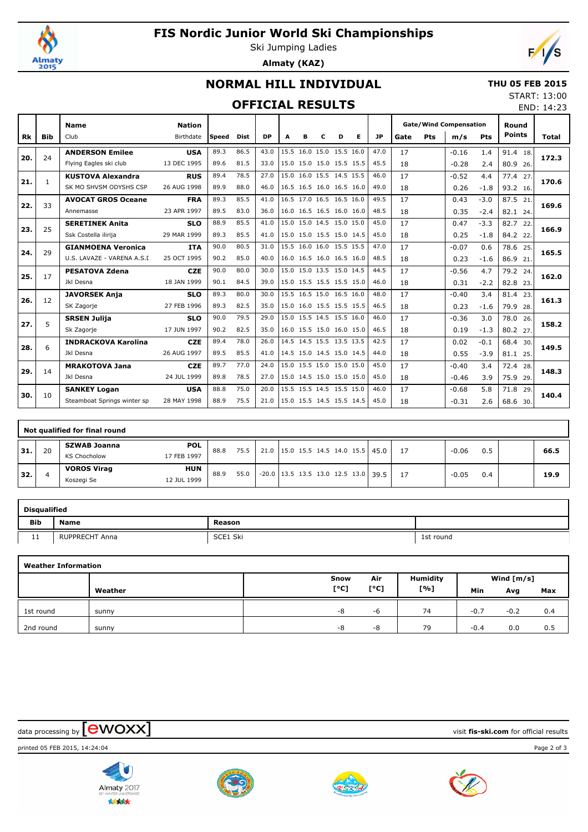

## **FIS Nordic Junior World Ski Championships**

Ski Jumping Ladies **Almaty (KAZ)**



END: 14:23

# **NORMAL HILL INDIVIDUAL**

#### **THU 05 FEB 2015** START: 13:00

### **OFFICIAL RESULTS**

|           |              | <b>Nation</b><br><b>Name</b> |             |       |             |           |   |   |                          |   |   |      |      |     | <b>Gate/Wind Compensation</b> |        | Round         |       |  |
|-----------|--------------|------------------------------|-------------|-------|-------------|-----------|---|---|--------------------------|---|---|------|------|-----|-------------------------------|--------|---------------|-------|--|
| <b>Rk</b> | <b>Bib</b>   | Club                         | Birthdate   | Speed | <b>Dist</b> | <b>DP</b> | A | в | с                        | D | Е | JP   | Gate | Pts | m/s                           | Pts    | <b>Points</b> | Total |  |
|           | 24           | <b>ANDERSON Emilee</b>       | <b>USA</b>  | 89.3  | 86.5        | 43.0      |   |   | 15.5 16.0 15.0 15.5 16.0 |   |   | 47.0 | 17   |     | $-0.16$                       | 1.4    | 91.4 18.      |       |  |
| 20.       |              | Flying Eagles ski club       | 13 DEC 1995 | 89.6  | 81.5        | 33.0      |   |   | 15.0 15.0 15.0 15.5 15.5 |   |   | 45.5 | 18   |     | $-0.28$                       | 2.4    | 80.9 26.      | 172.3 |  |
| 21.       | $\mathbf{1}$ | <b>KUSTOVA Alexandra</b>     | <b>RUS</b>  | 89.4  | 78.5        | 27.0      |   |   | 15.0 16.0 15.5 14.5 15.5 |   |   | 46.0 | 17   |     | $-0.52$                       | 4.4    | 77.4 27.      | 170.6 |  |
|           |              | SK MO SHVSM ODYSHS CSP       | 26 AUG 1998 | 89.9  | 88.0        | 46.0      |   |   | 16.5 16.5 16.0 16.5 16.0 |   |   | 49.0 | 18   |     | 0.26                          | $-1.8$ | 93.2 16.      |       |  |
|           | 33           | <b>AVOCAT GROS Oceane</b>    | <b>FRA</b>  | 89.3  | 85.5        | 41.0      |   |   | 16.5 17.0 16.5 16.5 16.0 |   |   | 49.5 | 17   |     | 0.43                          | $-3.0$ | 87.5 21.      | 169.6 |  |
| 22.       |              | Annemasse                    | 23 APR 1997 | 89.5  | 83.0        | 36.0      |   |   | 16.0 16.5 16.5 16.0 16.0 |   |   | 48.5 | 18   |     | 0.35                          | $-2.4$ | 82.1 24.      |       |  |
| 23.       | 25           | <b>SERETINEK Anita</b>       | <b>SLO</b>  | 88.9  | 85.5        | 41.0      |   |   | 15.0 15.0 14.5 15.0 15.0 |   |   | 45.0 | 17   |     | 0.47                          | $-3.3$ | 82.7 22.      | 166.9 |  |
|           |              | Ssk Costella ilirija         | 29 MAR 1999 | 89.3  | 85.5        | 41.0      |   |   | 15.0 15.0 15.5 15.0 14.5 |   |   | 45.0 | 18   |     | 0.25                          | $-1.8$ | 84.2 22.      |       |  |
| 24.       | 29           | <b>GIANMOENA Veronica</b>    | <b>ITA</b>  | 90.0  | 80.5        | 31.0      |   |   | 15.5 16.0 16.0 15.5 15.5 |   |   | 47.0 | 17   |     | $-0.07$                       | 0.6    | 78.6 25.      | 165.5 |  |
|           |              | U.S. LAVAZE - VARENA A.S.I   | 25 OCT 1995 | 90.2  | 85.0        | 40.0      |   |   | 16.0 16.5 16.0 16.5 16.0 |   |   | 48.5 | 18   |     | 0.23                          | $-1.6$ | 86.9 21.      |       |  |
| 25.       | 17           | <b>PESATOVA Zdena</b>        | <b>CZE</b>  | 90.0  | 80.0        | 30.0      |   |   | 15.0 15.0 13.5 15.0 14.5 |   |   | 44.5 | 17   |     | $-0.56$                       | 4.7    | 79.2 24.      | 162.0 |  |
|           |              | Jkl Desna                    | 18 JAN 1999 | 90.1  | 84.5        | 39.0      |   |   | 15.0 15.5 15.5 15.5 15.0 |   |   | 46.0 | 18   |     | 0.31                          | $-2.2$ | 82.8 23.      |       |  |
| 26.       | 12           | <b>JAVORSEK Anja</b>         | <b>SLO</b>  | 89.3  | 80.0        | 30.0      |   |   | 15.5 16.5 15.0 16.5 16.0 |   |   | 48.0 | 17   |     | $-0.40$                       | 3.4    | 81.4 23.      | 161.3 |  |
|           |              | SK Zagorje                   | 27 FEB 1996 | 89.3  | 82.5        | 35.0      |   |   | 15.0 16.0 15.5 15.5 15.5 |   |   | 46.5 | 18   |     | 0.23                          | $-1.6$ | 79.9 28.      |       |  |
| 27.       | 5            | <b>SRSEN Julija</b>          | <b>SLO</b>  | 90.0  | 79.5        | 29.0      |   |   | 15.0 15.5 14.5 15.5 16.0 |   |   | 46.0 | 17   |     | $-0.36$                       | 3.0    | 78.0 26.      | 158.2 |  |
|           |              | Sk Zagorje                   | 17 JUN 1997 | 90.2  | 82.5        | 35.0      |   |   | 16.0 15.5 15.0 16.0 15.0 |   |   | 46.5 | 18   |     | 0.19                          | $-1.3$ | 80.2 27.      |       |  |
| 28.       | 6            | <b>INDRACKOVA Karolina</b>   | <b>CZE</b>  | 89.4  | 78.0        | 26.0      |   |   | 14.5 14.5 15.5 13.5 13.5 |   |   | 42.5 | 17   |     | 0.02                          | $-0.1$ | 68.4 30.      | 149.5 |  |
|           |              | Jkl Desna                    | 26 AUG 1997 | 89.5  | 85.5        | 41.0      |   |   | 14.5 15.0 14.5 15.0 14.5 |   |   | 44.0 | 18   |     | 0.55                          | $-3.9$ | 81.1 25.      |       |  |
| 29.       | 14           | <b>MRAKOTOVA Jana</b>        | <b>CZE</b>  | 89.7  | 77.0        | 24.0      |   |   | 15.0 15.5 15.0 15.0 15.0 |   |   | 45.0 | 17   |     | $-0.40$                       | 3.4    | 72.4<br>28.   | 148.3 |  |
|           |              | Jkl Desna                    | 24 JUL 1999 | 89.8  | 78.5        | 27.0      |   |   | 15.0 14.5 15.0 15.0 15.0 |   |   | 45.0 | 18   |     | $-0.46$                       | 3.9    | 75.9<br>29.   |       |  |
| 30.       | 10           | <b>SANKEY Logan</b>          | <b>USA</b>  | 88.8  | 75.0        | 20.0      |   |   | 15.5 15.5 14.5 15.5 15.0 |   |   | 46.0 | 17   |     | $-0.68$                       | 5.8    | 71.8<br>29.   | 140.4 |  |
|           |              | Steamboat Springs winter sp  | 28 MAY 1998 | 88.9  | 75.5        | 21.0      |   |   | 15.0 15.5 14.5 15.5 14.5 |   |   | 45.0 | 18   |     | $-0.31$                       | 2.6    | 68.6 30.      |       |  |

|     | Not qualified for final round |                     |             |      |      |  |  |  |  |  |  |                                       |     |         |     |      |
|-----|-------------------------------|---------------------|-------------|------|------|--|--|--|--|--|--|---------------------------------------|-----|---------|-----|------|
| 31. | 20                            | <b>SZWAB Joanna</b> | <b>POL</b>  | 88.8 | 75.5 |  |  |  |  |  |  | 21.0 15.0 15.5 14.5 14.0 15.5 45.0    | -17 | $-0.06$ | 0.5 | 66.5 |
|     |                               | <b>KS Chocholow</b> | 17 FEB 1997 |      |      |  |  |  |  |  |  |                                       |     |         |     |      |
| 32. | 4                             | <b>VOROS Virag</b>  | <b>HUN</b>  | 88.9 | 55.0 |  |  |  |  |  |  | $-20.0$ 13.5 13.5 13.0 12.5 13.0 39.5 |     | $-0.05$ | 0.4 | 19.9 |
|     |                               | Koszegi Se          | 12 JUL 1999 |      |      |  |  |  |  |  |  |                                       |     |         |     |      |

|            | <b>Disqualified</b>   |          |           |  |  |  |  |  |  |  |  |  |  |
|------------|-----------------------|----------|-----------|--|--|--|--|--|--|--|--|--|--|
| Bib        | <b>Name</b>           |          |           |  |  |  |  |  |  |  |  |  |  |
| <b>. .</b> | <b>RUPPRECHT Anna</b> | SCE1 Ski | 1st round |  |  |  |  |  |  |  |  |  |  |

|           | <b>Weather Information</b> |      |      |                 |              |        |     |  |  |  |  |  |  |  |  |
|-----------|----------------------------|------|------|-----------------|--------------|--------|-----|--|--|--|--|--|--|--|--|
|           |                            | Snow | Air  | <b>Humidity</b> | Wind $[m/s]$ |        |     |  |  |  |  |  |  |  |  |
|           | Weather                    | [°C] | [°C] | [%]             | Min          | Avg    | Max |  |  |  |  |  |  |  |  |
| 1st round | sunny                      | -8   | -6   | 74              | $-0.7$       | $-0.2$ | 0.4 |  |  |  |  |  |  |  |  |
| 2nd round | sunny                      | -8   | -8   | 79              | $-0.4$       | 0.0    | 0.5 |  |  |  |  |  |  |  |  |











 $\frac{1}{2}$  data processing by  $\boxed{\text{ewOX}}$ 

printed 05 FEB 2015, 14:24:04 Page 2 of 3